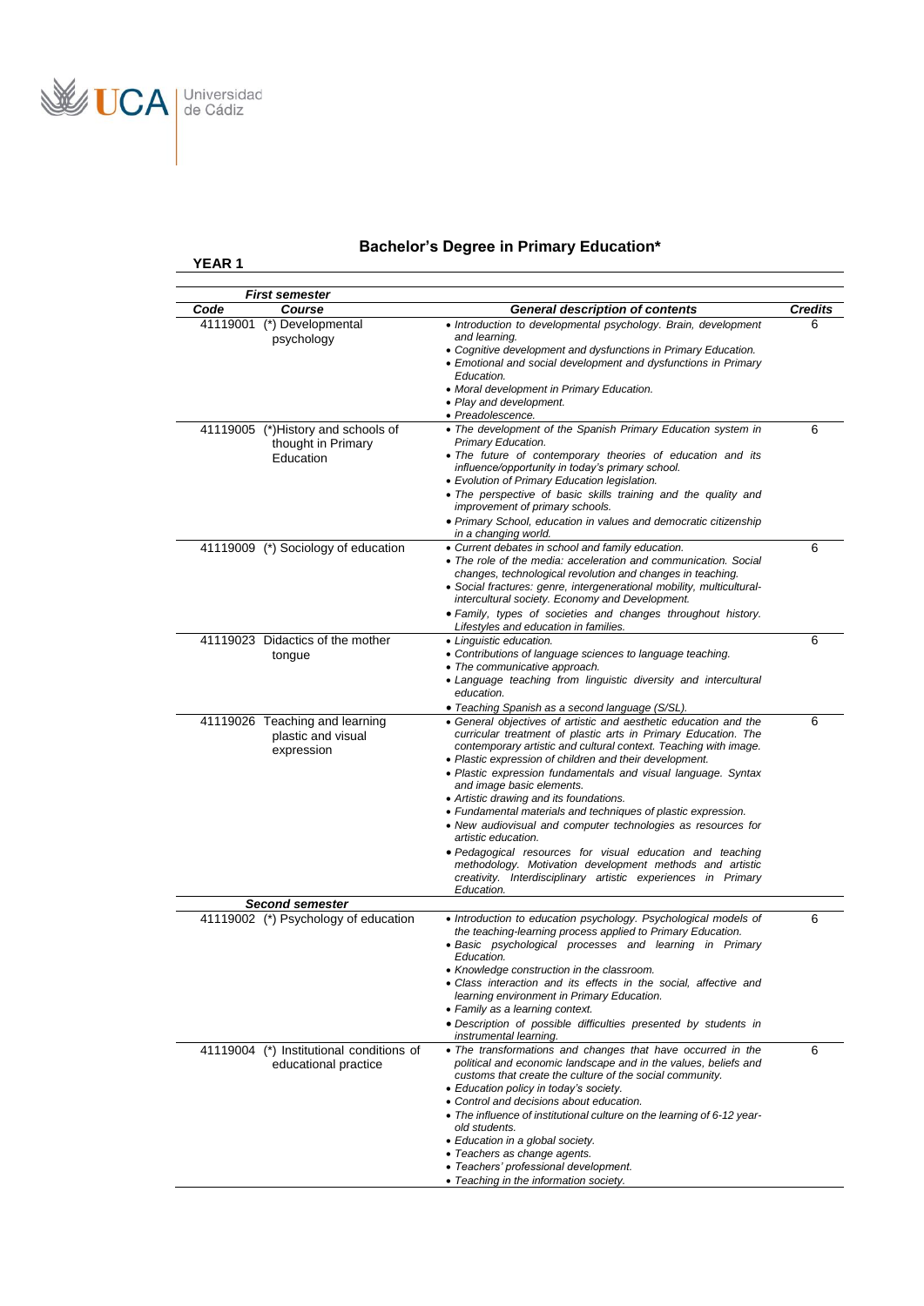

**YEAR 1** 

# **Bachelor's Degree in Primary Education\***

|                  | First semester                                                 |                                                                                                                               |                     |
|------------------|----------------------------------------------------------------|-------------------------------------------------------------------------------------------------------------------------------|---------------------|
| Code<br>41119001 | Course<br>(*) Developmental                                    | <b>General description of contents</b><br>• Introduction to developmental psychology. Brain, development                      | <b>Credits</b><br>6 |
|                  | psychology                                                     | and learning.<br>• Cognitive development and dysfunctions in Primary Education.                                               |                     |
|                  |                                                                | • Emotional and social development and dysfunctions in Primary<br>Education.                                                  |                     |
|                  |                                                                | • Moral development in Primary Education.                                                                                     |                     |
|                  |                                                                | • Play and development.                                                                                                       |                     |
|                  | 41119005 (*)History and schools of                             | • Preadolescence.<br>• The development of the Spanish Primary Education system in                                             | 6                   |
|                  | thought in Primary                                             | Primary Education.<br>• The future of contemporary theories of education and its                                              |                     |
|                  | Education                                                      | influence/opportunity in today's primary school.                                                                              |                     |
|                  |                                                                | • Evolution of Primary Education legislation.<br>• The perspective of basic skills training and the quality and               |                     |
|                  |                                                                | improvement of primary schools.                                                                                               |                     |
|                  |                                                                | • Primary School, education in values and democratic citizenship<br>in a changing world.                                      |                     |
|                  | 41119009 (*) Sociology of education                            | • Current debates in school and family education.                                                                             | 6                   |
|                  |                                                                | • The role of the media: acceleration and communication. Social<br>changes, technological revolution and changes in teaching. |                     |
|                  |                                                                | • Social fractures: genre, intergenerational mobility, multicultural-<br>intercultural society. Economy and Development.      |                     |
|                  |                                                                | • Family, types of societies and changes throughout history.                                                                  |                     |
|                  | 41119023 Didactics of the mother                               | Lifestyles and education in families.<br>• Linguistic education.                                                              | 6                   |
|                  | tongue                                                         | • Contributions of language sciences to language teaching.                                                                    |                     |
|                  |                                                                | • The communicative approach.<br>• Language teaching from linguistic diversity and intercultural                              |                     |
|                  |                                                                | education.                                                                                                                    |                     |
|                  | 41119026 Teaching and learning                                 | · Teaching Spanish as a second language (S/SL).<br>• General objectives of artistic and aesthetic education and the           | 6                   |
|                  | plastic and visual                                             | curricular treatment of plastic arts in Primary Education. The                                                                |                     |
|                  | expression                                                     | contemporary artistic and cultural context. Teaching with image.<br>• Plastic expression of children and their development.   |                     |
|                  |                                                                | • Plastic expression fundamentals and visual language. Syntax                                                                 |                     |
|                  |                                                                | and image basic elements.<br>• Artistic drawing and its foundations.                                                          |                     |
|                  |                                                                | • Fundamental materials and techniques of plastic expression.                                                                 |                     |
|                  |                                                                | • New audiovisual and computer technologies as resources for<br>artistic education.                                           |                     |
|                  |                                                                | · Pedagogical resources for visual education and teaching                                                                     |                     |
|                  |                                                                | methodology. Motivation development methods and artistic<br>creativity. Interdisciplinary artistic experiences in Primary     |                     |
|                  |                                                                | Education.                                                                                                                    |                     |
|                  | <b>Second semester</b><br>41119002 (*) Psychology of education | • Introduction to education psychology. Psychological models of                                                               | 6                   |
|                  |                                                                | the teaching-learning process applied to Primary Education.                                                                   |                     |
|                  |                                                                | · Basic psychological processes and learning in Primary<br>Education.                                                         |                     |
|                  |                                                                | • Knowledge construction in the classroom.                                                                                    |                     |
|                  |                                                                | • Class interaction and its effects in the social, affective and<br>learning environment in Primary Education.                |                     |
|                  |                                                                | • Family as a learning context.                                                                                               |                     |
|                  |                                                                | · Description of possible difficulties presented by students in<br>instrumental learning.                                     |                     |
|                  | 41119004 (*) Institutional conditions of                       | • The transformations and changes that have occurred in the                                                                   | 6                   |
|                  | educational practice                                           | political and economic landscape and in the values, beliefs and<br>customs that create the culture of the social community.   |                     |
|                  |                                                                | · Education policy in today's society.                                                                                        |                     |
|                  |                                                                | • Control and decisions about education.<br>• The influence of institutional culture on the learning of 6-12 year-            |                     |
|                  |                                                                | old students.                                                                                                                 |                     |
|                  |                                                                | • Education in a global society.<br>• Teachers as change agents.                                                              |                     |
|                  |                                                                | · Teachers' professional development.                                                                                         |                     |
|                  |                                                                | • Teaching in the information society.                                                                                        |                     |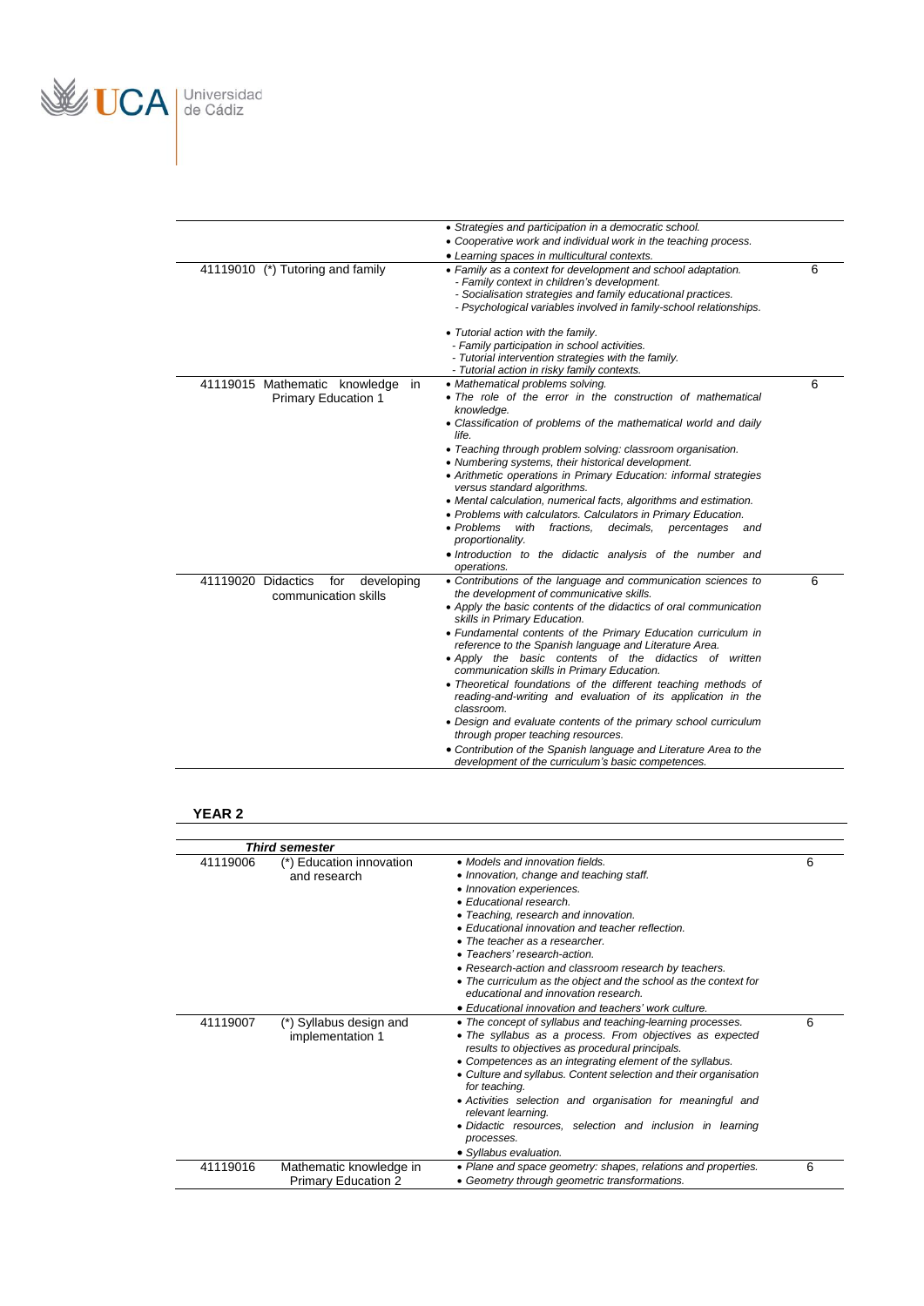

|                                                                   | • Strategies and participation in a democratic school.<br>• Cooperative work and individual work in the teaching process.<br>• Learning spaces in multicultural contexts.                                                                                                                                                                                                                                                                                                                                                                                                                                                                                                                                                                                                                                                             |   |
|-------------------------------------------------------------------|---------------------------------------------------------------------------------------------------------------------------------------------------------------------------------------------------------------------------------------------------------------------------------------------------------------------------------------------------------------------------------------------------------------------------------------------------------------------------------------------------------------------------------------------------------------------------------------------------------------------------------------------------------------------------------------------------------------------------------------------------------------------------------------------------------------------------------------|---|
| 41119010 (*) Tutoring and family                                  | • Family as a context for development and school adaptation.<br>- Family context in children's development.<br>- Socialisation strategies and family educational practices.<br>- Psychological variables involved in family-school relationships.                                                                                                                                                                                                                                                                                                                                                                                                                                                                                                                                                                                     | 6 |
|                                                                   | • Tutorial action with the family.<br>- Family participation in school activities.<br>- Tutorial intervention strategies with the family.<br>- Tutorial action in risky family contexts.                                                                                                                                                                                                                                                                                                                                                                                                                                                                                                                                                                                                                                              |   |
| 41119015 Mathematic knowledge<br>in<br><b>Primary Education 1</b> | • Mathematical problems solving.<br>• The role of the error in the construction of mathematical<br>knowledge.<br>• Classification of problems of the mathematical world and daily<br>life.<br>• Teaching through problem solving: classroom organisation.<br>• Numbering systems, their historical development.<br>• Arithmetic operations in Primary Education: informal strategies<br>versus standard algorithms.<br>• Mental calculation, numerical facts, algorithms and estimation.<br>• Problems with calculators. Calculators in Primary Education.<br>• Problems<br>with<br>fractions.<br>decimals,<br>percentages<br>and<br>proportionality.<br>. Introduction to the didactic analysis of the number and<br>operations.                                                                                                     | 6 |
| 41119020 Didactics<br>for<br>developing<br>communication skills   | • Contributions of the language and communication sciences to<br>the development of communicative skills.<br>• Apply the basic contents of the didactics of oral communication<br>skills in Primary Education.<br>• Fundamental contents of the Primary Education curriculum in<br>reference to the Spanish language and Literature Area.<br>• Apply the basic contents of the didactics of written<br>communication skills in Primary Education.<br>• Theoretical foundations of the different teaching methods of<br>reading-and-writing and evaluation of its application in the<br>classroom.<br>• Design and evaluate contents of the primary school curriculum<br>through proper teaching resources.<br>• Contribution of the Spanish language and Literature Area to the<br>development of the curriculum's basic competences. | 6 |

## **YEAR 2**

|          | <b>Third semester</b>                                 |                                                                                                                                                                                                                                                                                                                                                                                                                                                                                                                                                                             |   |
|----------|-------------------------------------------------------|-----------------------------------------------------------------------------------------------------------------------------------------------------------------------------------------------------------------------------------------------------------------------------------------------------------------------------------------------------------------------------------------------------------------------------------------------------------------------------------------------------------------------------------------------------------------------------|---|
| 41119006 | (*) Education innovation<br>and research              | • Models and innovation fields<br>• Innovation, change and teaching staff.<br>• Innovation experiences.<br>• Educational research<br>• Teaching, research and innovation.<br>• Educational innovation and teacher reflection.<br>• The teacher as a researcher.<br>• Teachers' research-action<br>• Research-action and classroom research by teachers.<br>• The curriculum as the object and the school as the context for<br>educational and innovation research.                                                                                                         | 6 |
| 41119007 | (*) Syllabus design and<br>implementation 1           | • Educational innovation and teachers' work culture.<br>• The concept of syllabus and teaching-learning processes.<br>• The syllabus as a process. From objectives as expected<br>results to objectives as procedural principals.<br>• Competences as an integrating element of the syllabus.<br>• Culture and syllabus. Content selection and their organisation<br>for teaching.<br>• Activities selection and organisation for meaningful and<br>relevant learning.<br>· Didactic resources, selection and inclusion in learning<br>processes.<br>• Syllabus evaluation. | 6 |
| 41119016 | Mathematic knowledge in<br><b>Primary Education 2</b> | • Plane and space geometry: shapes, relations and properties.<br>• Geometry through geometric transformations.                                                                                                                                                                                                                                                                                                                                                                                                                                                              | 6 |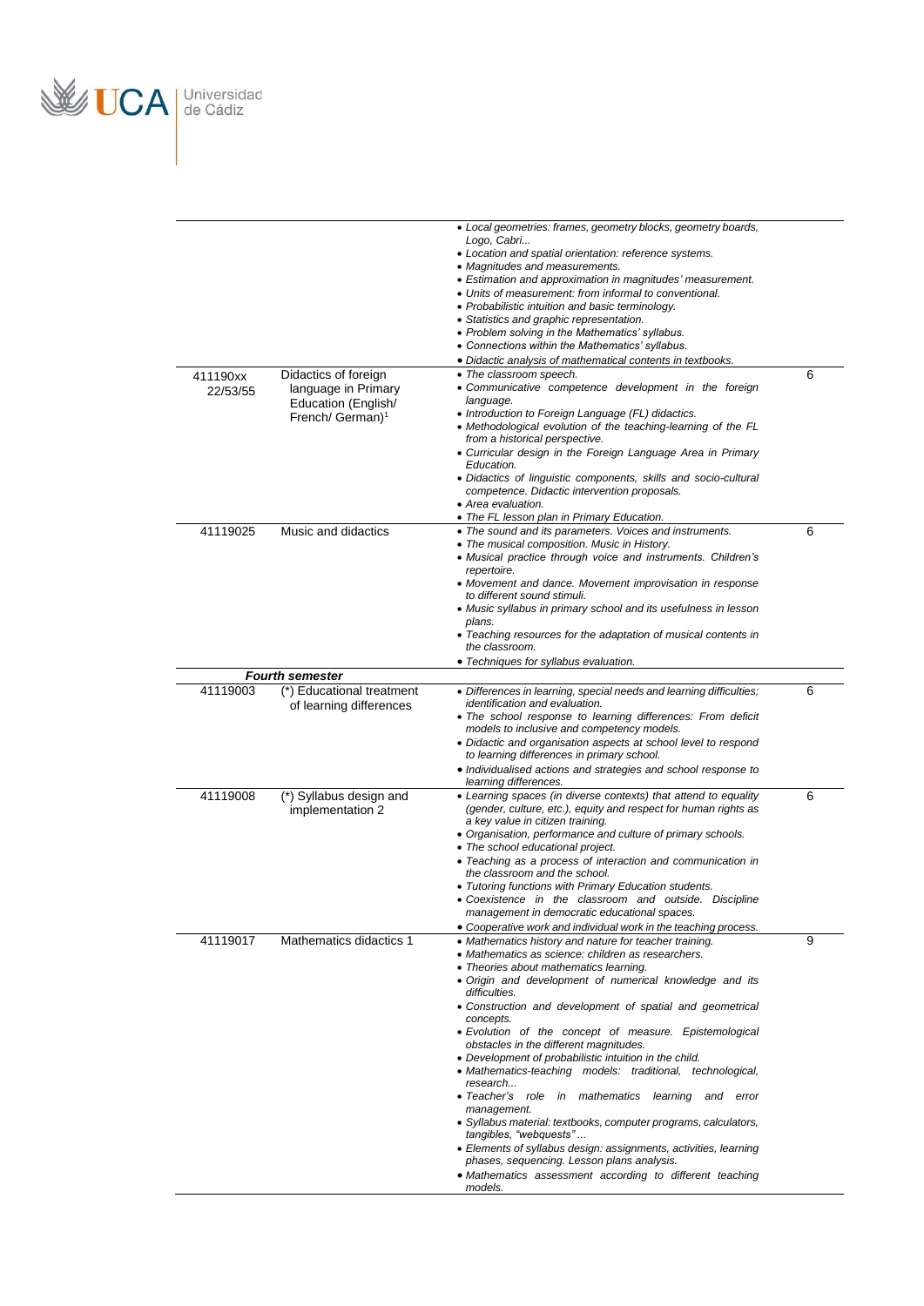

| 411190xx<br>22/53/55 | Didactics of foreign<br>language in Primary<br>Education (English/<br>French/ German) <sup>1</sup> | • Local geometries: frames, geometry blocks, geometry boards,<br>Logo, Cabri<br>• Location and spatial orientation: reference systems.<br>• Magnitudes and measurements.<br>• Estimation and approximation in magnitudes' measurement.<br>• Units of measurement: from informal to conventional.<br>• Probabilistic intuition and basic terminology.<br>• Statistics and graphic representation.<br>• Problem solving in the Mathematics' syllabus.<br>• Connections within the Mathematics' syllabus.<br>· Didactic analysis of mathematical contents in textbooks.<br>• The classroom speech.<br>· Communicative competence development in the foreign<br>language.<br>• Introduction to Foreign Language (FL) didactics.<br>• Methodological evolution of the teaching-learning of the FL<br>from a historical perspective.<br>• Curricular design in the Foreign Language Area in Primary<br>Education.<br>• Didactics of linguistic components, skills and socio-cultural<br>competence. Didactic intervention proposals.<br>• Area evaluation. | 6 |
|----------------------|----------------------------------------------------------------------------------------------------|------------------------------------------------------------------------------------------------------------------------------------------------------------------------------------------------------------------------------------------------------------------------------------------------------------------------------------------------------------------------------------------------------------------------------------------------------------------------------------------------------------------------------------------------------------------------------------------------------------------------------------------------------------------------------------------------------------------------------------------------------------------------------------------------------------------------------------------------------------------------------------------------------------------------------------------------------------------------------------------------------------------------------------------------------|---|
|                      |                                                                                                    | • The FL lesson plan in Primary Education.                                                                                                                                                                                                                                                                                                                                                                                                                                                                                                                                                                                                                                                                                                                                                                                                                                                                                                                                                                                                           |   |
| 41119025             | Music and didactics                                                                                | • The sound and its parameters. Voices and instruments.<br>• The musical composition. Music in History.<br>• Musical practice through voice and instruments. Children's<br>repertoire.<br>• Movement and dance. Movement improvisation in response<br>to different sound stimuli.<br>• Music syllabus in primary school and its usefulness in lesson<br>plans.<br>• Teaching resources for the adaptation of musical contents in<br>the classroom.<br>• Techniques for syllabus evaluation.                                                                                                                                                                                                                                                                                                                                                                                                                                                                                                                                                          | 6 |
|                      | <b>Fourth semester</b>                                                                             |                                                                                                                                                                                                                                                                                                                                                                                                                                                                                                                                                                                                                                                                                                                                                                                                                                                                                                                                                                                                                                                      |   |
| 41119003             | (*) Educational treatment<br>of learning differences                                               | • Differences in learning, special needs and learning difficulties;<br>identification and evaluation.<br>• The school response to learning differences: From deficit<br>models to inclusive and competency models.<br>• Didactic and organisation aspects at school level to respond<br>to learning differences in primary school.<br>• Individualised actions and strategies and school response to<br>learning differences.                                                                                                                                                                                                                                                                                                                                                                                                                                                                                                                                                                                                                        | 6 |
| 41119008             | (*) Syllabus design and<br>implementation 2                                                        | • Learning spaces (in diverse contexts) that attend to equality<br>(gender, culture, etc.), equity and respect for human rights as<br>a key value in citizen training.<br>• Organisation, performance and culture of primary schools.<br>• The school educational project.<br>• Teaching as a process of interaction and communication in<br>the classroom and the school.<br>• Tutoring functions with Primary Education students.<br>• Coexistence in the classroom and outside. Discipline<br>management in democratic educational spaces.<br>• Cooperative work and individual work in the teaching process.                                                                                                                                                                                                                                                                                                                                                                                                                                     | 6 |
| 41119017             | Mathematics didactics 1                                                                            | • Mathematics history and nature for teacher training.<br>• Mathematics as science: children as researchers.<br>• Theories about mathematics learning.<br>· Origin and development of numerical knowledge and its<br>difficulties.<br>• Construction and development of spatial and geometrical<br>concepts.<br>· Evolution of the concept of measure. Epistemological<br>obstacles in the different magnitudes.<br>• Development of probabilistic intuition in the child.<br>• Mathematics-teaching models: traditional, technological,<br>research<br>• Teacher's role in mathematics<br>learning and error<br>management.<br>• Syllabus material: textbooks, computer programs, calculators,<br>tangibles, "webquests"<br>• Elements of syllabus design: assignments, activities, learning<br>phases, sequencing. Lesson plans analysis.<br>• Mathematics assessment according to different teaching<br>models.                                                                                                                                   | 9 |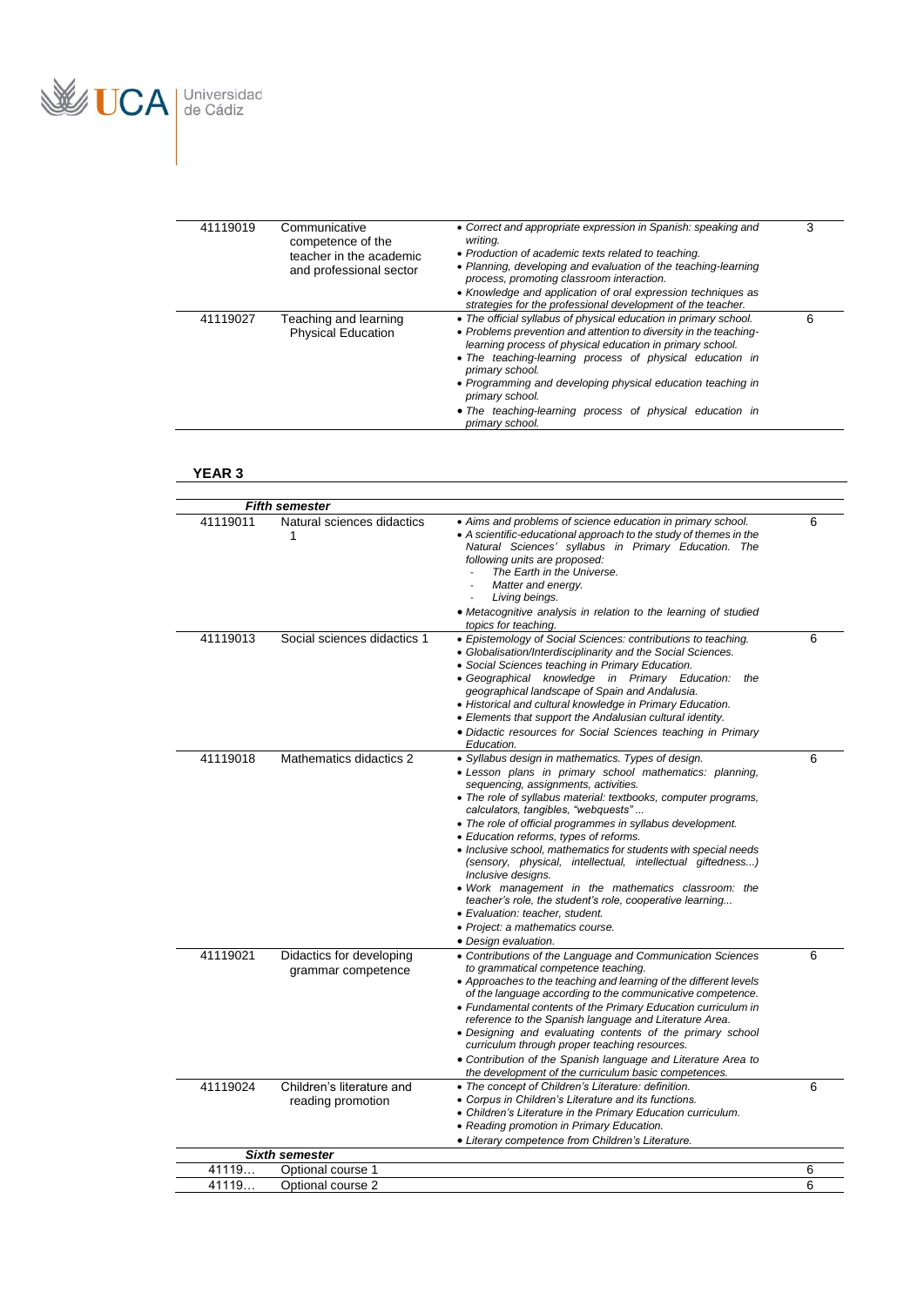

| 41119019 | Communicative<br>competence of the<br>teacher in the academic<br>and professional sector | • Correct and appropriate expression in Spanish: speaking and<br>writina.<br>• Production of academic texts related to teaching.<br>• Planning, developing and evaluation of the teaching-learning<br>process, promoting classroom interaction.<br>• Knowledge and application of oral expression techniques as<br>strategies for the professional development of the teacher.                                                                     | 3 |
|----------|------------------------------------------------------------------------------------------|----------------------------------------------------------------------------------------------------------------------------------------------------------------------------------------------------------------------------------------------------------------------------------------------------------------------------------------------------------------------------------------------------------------------------------------------------|---|
| 41119027 | Teaching and learning<br><b>Physical Education</b>                                       | • The official syllabus of physical education in primary school.<br>• Problems prevention and attention to diversity in the teaching-<br>learning process of physical education in primary school.<br>• The teaching-learning process of physical education in<br>primary school.<br>• Programming and developing physical education teaching in<br>primary school.<br>• The teaching-learning process of physical education in<br>primary school. | 6 |

#### **YEAR 3**

|          | <b>Fifth semester</b>                          |                                                                                                                                                                                                                                                                                                                                                                                                                                                                                                                                                                                                                                                                                                                                                 |   |
|----------|------------------------------------------------|-------------------------------------------------------------------------------------------------------------------------------------------------------------------------------------------------------------------------------------------------------------------------------------------------------------------------------------------------------------------------------------------------------------------------------------------------------------------------------------------------------------------------------------------------------------------------------------------------------------------------------------------------------------------------------------------------------------------------------------------------|---|
| 41119011 | Natural sciences didactics<br>1                | • Aims and problems of science education in primary school.<br>• A scientific-educational approach to the study of themes in the<br>Natural Sciences' syllabus in Primary Education. The<br>following units are proposed:<br>The Earth in the Universe.<br>Matter and energy.<br>Living beings.<br>• Metacognitive analysis in relation to the learning of studied<br>topics for teaching.                                                                                                                                                                                                                                                                                                                                                      | 6 |
| 41119013 | Social sciences didactics 1                    | • Epistemology of Social Sciences: contributions to teaching.<br>• Globalisation/Interdisciplinarity and the Social Sciences.<br>• Social Sciences teaching in Primary Education.<br>• Geographical knowledge in Primary Education: the<br>geographical landscape of Spain and Andalusia.<br>• Historical and cultural knowledge in Primary Education.<br>• Elements that support the Andalusian cultural identity.<br>• Didactic resources for Social Sciences teaching in Primary<br>Education.                                                                                                                                                                                                                                               | 6 |
| 41119018 | Mathematics didactics 2                        | · Syllabus design in mathematics. Types of design.<br>· Lesson plans in primary school mathematics: planning,<br>sequencing, assignments, activities.<br>• The role of syllabus material: textbooks, computer programs,<br>calculators, tangibles, "webquests"<br>• The role of official programmes in syllabus development.<br>• Education reforms, types of reforms.<br>• Inclusive school, mathematics for students with special needs<br>(sensory, physical, intellectual, intellectual giftedness)<br>Inclusive designs.<br>· Work management in the mathematics classroom: the<br>teacher's role, the student's role, cooperative learning<br>• Evaluation: teacher, student.<br>• Project: a mathematics course.<br>• Design evaluation. | 6 |
| 41119021 | Didactics for developing<br>grammar competence | • Contributions of the Language and Communication Sciences<br>to grammatical competence teaching.<br>• Approaches to the teaching and learning of the different levels<br>of the language according to the communicative competence.<br>• Fundamental contents of the Primary Education curriculum in<br>reference to the Spanish language and Literature Area.<br>• Designing and evaluating contents of the primary school<br>curriculum through proper teaching resources.<br>• Contribution of the Spanish language and Literature Area to<br>the development of the curriculum basic competences.                                                                                                                                          | 6 |
| 41119024 | Children's literature and<br>reading promotion | • The concept of Children's Literature: definition.<br>• Corpus in Children's Literature and its functions.<br>• Children's Literature in the Primary Education curriculum.<br>• Reading promotion in Primary Education.<br>• Literary competence from Children's Literature.                                                                                                                                                                                                                                                                                                                                                                                                                                                                   | 6 |
|          | <b>Sixth semester</b>                          |                                                                                                                                                                                                                                                                                                                                                                                                                                                                                                                                                                                                                                                                                                                                                 |   |
| 41119    | Optional course 1                              |                                                                                                                                                                                                                                                                                                                                                                                                                                                                                                                                                                                                                                                                                                                                                 | 6 |
| 41119.   | Optional course 2                              |                                                                                                                                                                                                                                                                                                                                                                                                                                                                                                                                                                                                                                                                                                                                                 | 6 |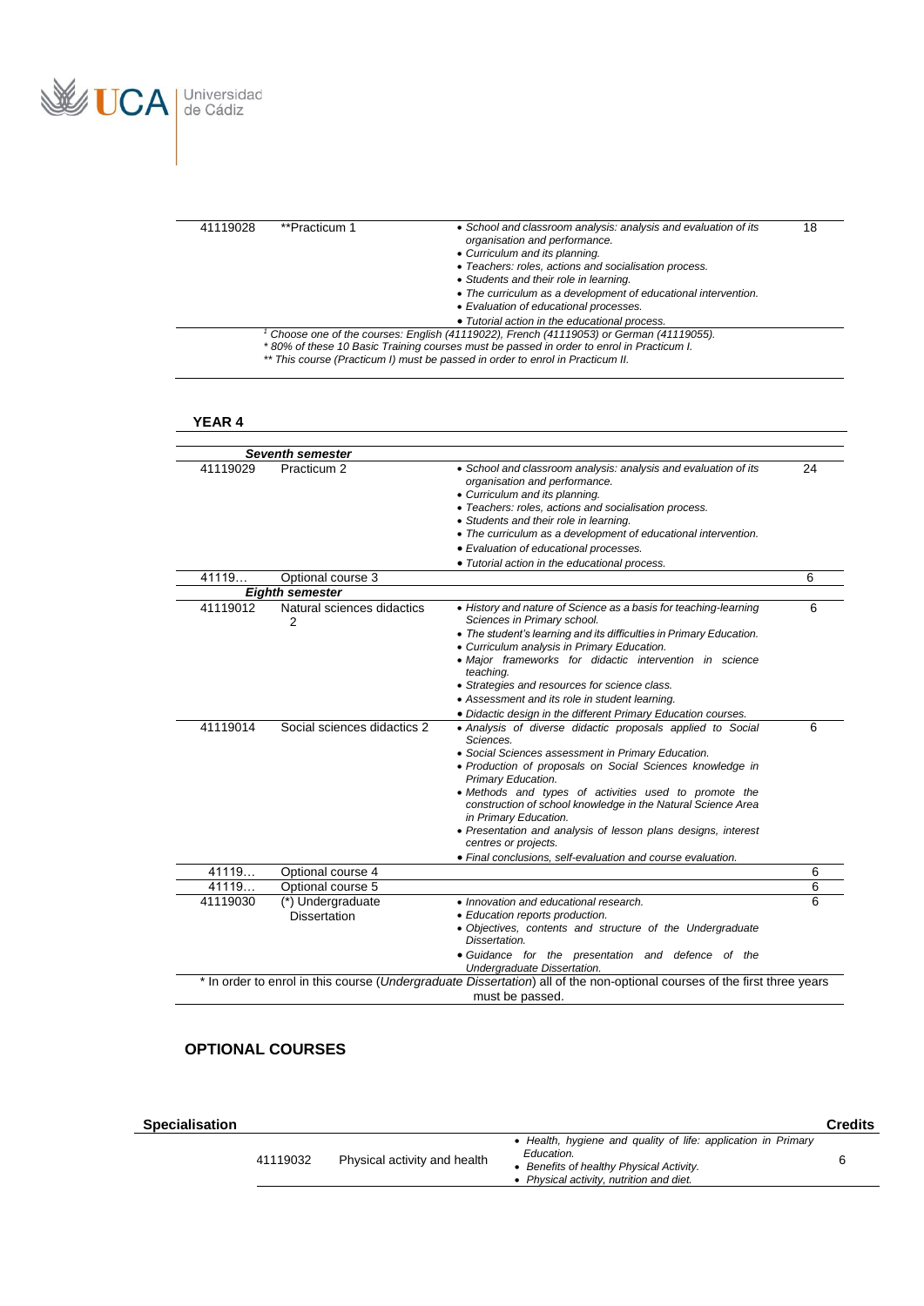

| 41119028 | **Practicum 1 | • School and classroom analysis: analysis and evaluation of its<br>organisation and performance.                                                                                                                                                                     | 18 |
|----------|---------------|----------------------------------------------------------------------------------------------------------------------------------------------------------------------------------------------------------------------------------------------------------------------|----|
|          |               | • Curriculum and its planning.<br>• Teachers: roles, actions and socialisation process.                                                                                                                                                                              |    |
|          |               | • Students and their role in learning.                                                                                                                                                                                                                               |    |
|          |               | • The curriculum as a development of educational intervention.<br>• Evaluation of educational processes.                                                                                                                                                             |    |
|          |               | • Tutorial action in the educational process.                                                                                                                                                                                                                        |    |
|          |               | Choose one of the courses: English (41119022), French (41119053) or German (41119055).<br>*80% of these 10 Basic Training courses must be passed in order to enrol in Practicum I.<br>** This course (Practicum I) must be passed in order to enrol in Practicum II. |    |

<u> 1980 - Johann Barbara, martxa a</u>

## **YEAR 4**

| Practicum <sub>2</sub><br>Optional course 3<br><b>Eighth semester</b> | • School and classroom analysis: analysis and evaluation of its<br>organisation and performance.<br>• Curriculum and its planning.<br>• Teachers: roles, actions and socialisation process.<br>• Students and their role in learning.<br>• The curriculum as a development of educational intervention.<br>• Evaluation of educational processes.<br>· Tutorial action in the educational process.                                                                | 24                                                                                                                                                                                                        |
|-----------------------------------------------------------------------|-------------------------------------------------------------------------------------------------------------------------------------------------------------------------------------------------------------------------------------------------------------------------------------------------------------------------------------------------------------------------------------------------------------------------------------------------------------------|-----------------------------------------------------------------------------------------------------------------------------------------------------------------------------------------------------------|
|                                                                       |                                                                                                                                                                                                                                                                                                                                                                                                                                                                   |                                                                                                                                                                                                           |
|                                                                       |                                                                                                                                                                                                                                                                                                                                                                                                                                                                   | 6                                                                                                                                                                                                         |
|                                                                       |                                                                                                                                                                                                                                                                                                                                                                                                                                                                   |                                                                                                                                                                                                           |
| Natural sciences didactics<br>2                                       | • History and nature of Science as a basis for teaching-learning<br>Sciences in Primary school.<br>• The student's learning and its difficulties in Primary Education.<br>• Curriculum analysis in Primary Education.<br>• Major frameworks for didactic intervention in science<br>teaching.<br>• Strategies and resources for science class.<br>• Assessment and its role in student learning.<br>· Didactic design in the different Primary Education courses. | 6<br>6                                                                                                                                                                                                    |
|                                                                       | Sciences.<br>• Social Sciences assessment in Primary Education.<br>• Production of proposals on Social Sciences knowledge in<br>Primary Education.<br>• Methods and types of activities used to promote the<br>construction of school knowledge in the Natural Science Area<br>in Primary Education.<br>• Presentation and analysis of lesson plans designs, interest<br>centres or projects.<br>• Final conclusions, self-evaluation and course evaluation.      |                                                                                                                                                                                                           |
|                                                                       |                                                                                                                                                                                                                                                                                                                                                                                                                                                                   | 6                                                                                                                                                                                                         |
|                                                                       |                                                                                                                                                                                                                                                                                                                                                                                                                                                                   | 6                                                                                                                                                                                                         |
|                                                                       | • Innovation and educational research.<br>• Education reports production.<br>• Objectives, contents and structure of the Undergraduate<br>Dissertation.<br>• Guidance for the presentation and defence of the<br>Undergraduate Dissertation.                                                                                                                                                                                                                      | 6                                                                                                                                                                                                         |
|                                                                       |                                                                                                                                                                                                                                                                                                                                                                                                                                                                   |                                                                                                                                                                                                           |
|                                                                       | Social sciences didactics 2<br>Optional course 4<br>Optional course 5<br>(*) Undergraduate<br><b>Dissertation</b>                                                                                                                                                                                                                                                                                                                                                 | • Analysis of diverse didactic proposals applied to Social<br>* In order to enrol in this course (Undergraduate Dissertation) all of the non-optional courses of the first three years<br>must be passed. |

## **OPTIONAL COURSES**

| Specialisation |          |                              |                                                                                                                                                                 | Credits |
|----------------|----------|------------------------------|-----------------------------------------------------------------------------------------------------------------------------------------------------------------|---------|
|                | 41119032 | Physical activity and health | • Health, hygiene and quality of life: application in Primary<br>Education.<br>Benefits of healthy Physical Activity.<br>Physical activity, nutrition and diet. |         |
|                |          |                              |                                                                                                                                                                 |         |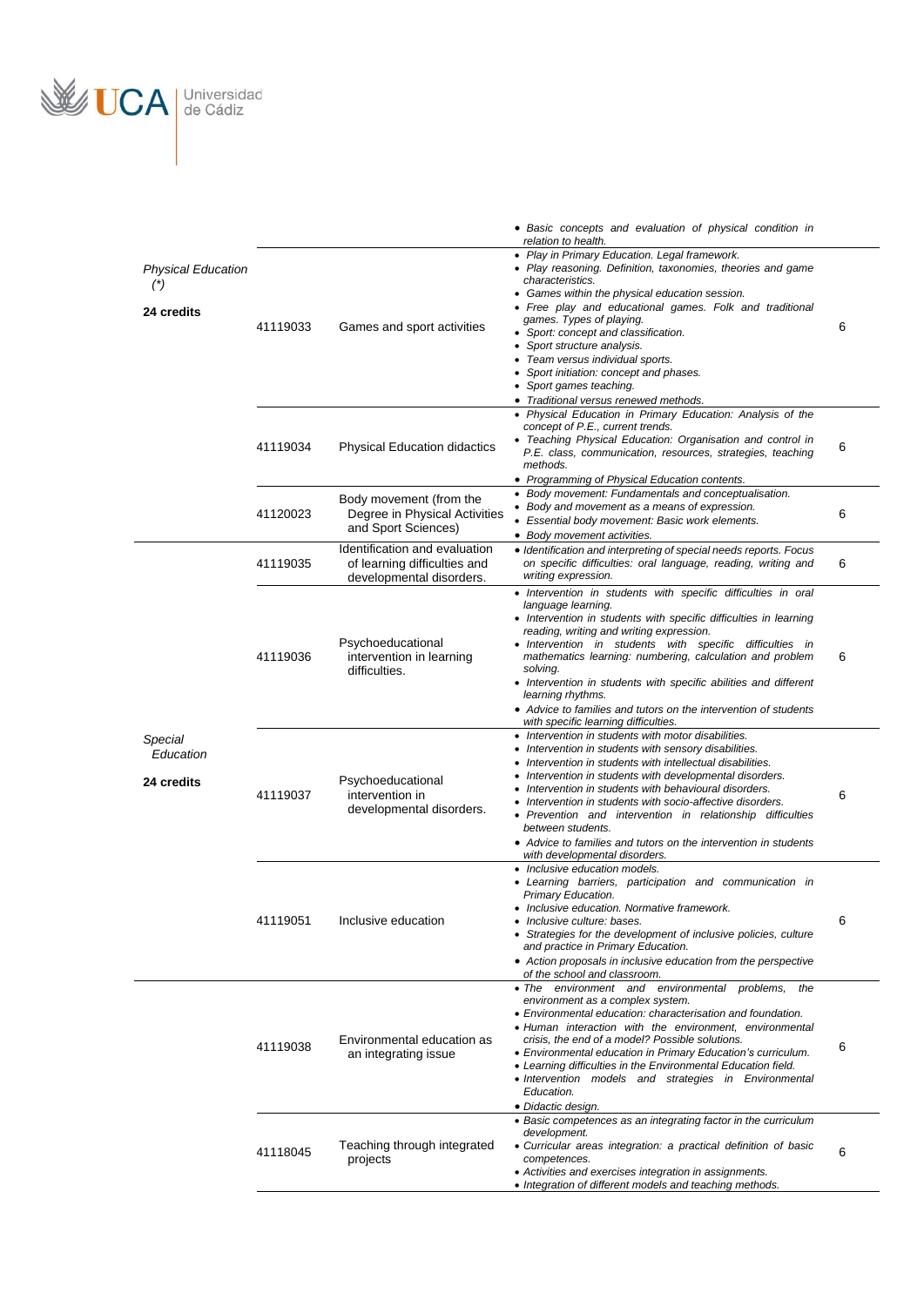

|                                              |          |                                                                                           | • Basic concepts and evaluation of physical condition in<br>relation to health.                                                                                                                                                                                                                                                                                                                                                                                                                                                                 |   |
|----------------------------------------------|----------|-------------------------------------------------------------------------------------------|-------------------------------------------------------------------------------------------------------------------------------------------------------------------------------------------------------------------------------------------------------------------------------------------------------------------------------------------------------------------------------------------------------------------------------------------------------------------------------------------------------------------------------------------------|---|
| <b>Physical Education</b><br>(<br>24 credits | 41119033 | Games and sport activities                                                                | • Play in Primary Education. Legal framework.<br>• Play reasoning. Definition, taxonomies, theories and game<br>characteristics.<br>• Games within the physical education session.<br>• Free play and educational games. Folk and traditional<br>games. Types of playing.<br>• Sport: concept and classification.<br>• Sport structure analysis.<br>Team versus individual sports.<br>Sport initiation: concept and phases.<br>• Sport games teaching.<br>• Traditional versus renewed methods.                                                 | 6 |
|                                              | 41119034 | <b>Physical Education didactics</b>                                                       | • Physical Education in Primary Education: Analysis of the<br>concept of P.E., current trends.<br>• Teaching Physical Education: Organisation and control in<br>P.E. class, communication, resources, strategies, teaching<br>methods.                                                                                                                                                                                                                                                                                                          | 6 |
|                                              | 41120023 | Body movement (from the<br>Degree in Physical Activities<br>and Sport Sciences)           | • Programming of Physical Education contents.<br>• Body movement: Fundamentals and conceptualisation.<br>• Body and movement as a means of expression.<br>• Essential body movement: Basic work elements.<br>• Body movement activities.                                                                                                                                                                                                                                                                                                        | 6 |
|                                              | 41119035 | Identification and evaluation<br>of learning difficulties and<br>developmental disorders. | • Identification and interpreting of special needs reports. Focus<br>on specific difficulties: oral language, reading, writing and<br>writing expression.                                                                                                                                                                                                                                                                                                                                                                                       | 6 |
|                                              | 41119036 | Psychoeducational<br>intervention in learning<br>difficulties.                            | · Intervention in students with specific difficulties in oral<br>language learning.<br>• Intervention in students with specific difficulties in learning<br>reading, writing and writing expression.<br>• Intervention in students with specific difficulties in<br>mathematics learning: numbering, calculation and problem<br>solving.<br>• Intervention in students with specific abilities and different<br>learning rhythms.<br>• Advice to families and tutors on the intervention of students<br>with specific learning difficulties.    | 6 |
| Special<br>Education<br>24 credits           | 41119037 | Psychoeducational<br>intervention in<br>developmental disorders.                          | • Intervention in students with motor disabilities.<br>• Intervention in students with sensory disabilities.<br>Intervention in students with intellectual disabilities.<br>Intervention in students with developmental disorders.<br>Intervention in students with behavioural disorders.<br>• Intervention in students with socio-affective disorders.<br>• Prevention and intervention in relationship difficulties<br>between students.<br>• Advice to families and tutors on the intervention in students<br>with developmental disorders. | 6 |
|                                              | 41119051 | Inclusive education                                                                       | • Inclusive education models.<br>• Learning barriers, participation and communication in<br>Primary Education.<br>• Inclusive education. Normative framework.<br>• Inclusive culture: bases.<br>• Strategies for the development of inclusive policies, culture<br>and practice in Primary Education.<br>• Action proposals in inclusive education from the perspective<br>of the school and classroom.                                                                                                                                         | 6 |
|                                              | 41119038 | Environmental education as<br>an integrating issue                                        | . The environment and environmental problems,<br>the<br>environment as a complex system.<br>• Environmental education: characterisation and foundation.<br>· Human interaction with the environment, environmental<br>crisis, the end of a model? Possible solutions.<br>• Environmental education in Primary Education's curriculum.<br>• Learning difficulties in the Environmental Education field.<br>• Intervention models and strategies in Environmental<br>Education.<br>• Didactic design.                                             | 6 |
|                                              | 41118045 | Teaching through integrated<br>projects                                                   | • Basic competences as an integrating factor in the curriculum<br>development.<br>• Curricular areas integration: a practical definition of basic<br>competences.<br>• Activities and exercises integration in assignments.<br>• Integration of different models and teaching methods.                                                                                                                                                                                                                                                          | 6 |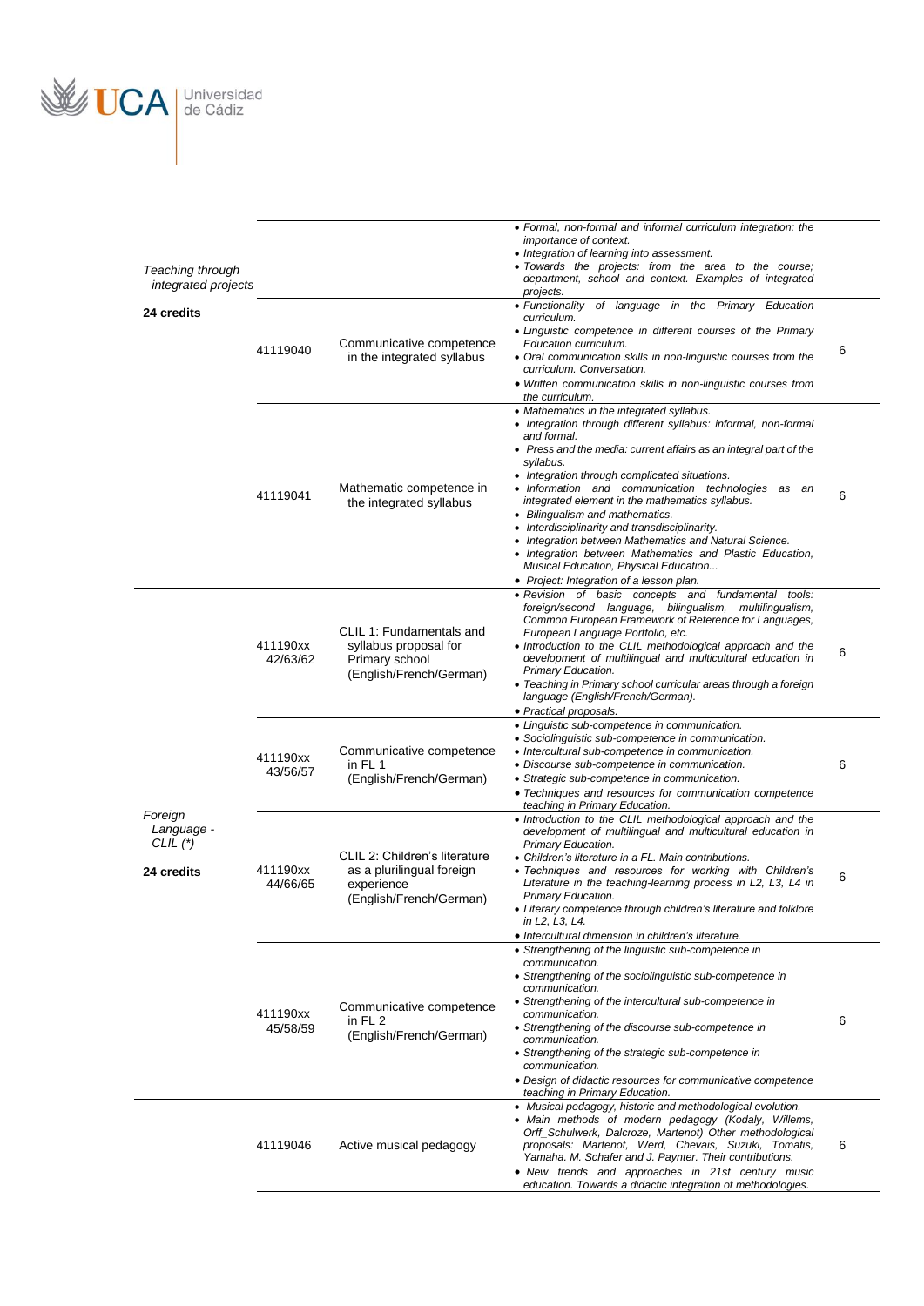

|                                         |                      |                                                                          | • Formal, non-formal and informal curriculum integration: the<br>importance of context.<br>• Integration of learning into assessment.                                                                                                                                         |   |
|-----------------------------------------|----------------------|--------------------------------------------------------------------------|-------------------------------------------------------------------------------------------------------------------------------------------------------------------------------------------------------------------------------------------------------------------------------|---|
| Teaching through<br>integrated projects |                      |                                                                          | • Towards the projects: from the area to the course;<br>department, school and context. Examples of integrated<br>projects.                                                                                                                                                   |   |
| 24 credits                              |                      |                                                                          | • Functionality of language in the Primary Education<br>curriculum.                                                                                                                                                                                                           |   |
|                                         | 41119040             | Communicative competence<br>in the integrated syllabus                   | • Linguistic competence in different courses of the Primary<br>Education curriculum.<br>• Oral communication skills in non-linguistic courses from the                                                                                                                        | 6 |
|                                         |                      |                                                                          | curriculum. Conversation.<br>• Written communication skills in non-linguistic courses from                                                                                                                                                                                    |   |
|                                         |                      |                                                                          | the curriculum.<br>• Mathematics in the integrated syllabus.<br>• Integration through different syllabus: informal, non-formal                                                                                                                                                |   |
|                                         |                      |                                                                          | and formal.<br>• Press and the media: current affairs as an integral part of the<br>syllabus.                                                                                                                                                                                 |   |
|                                         | 41119041             | Mathematic competence in                                                 | • Integration through complicated situations.<br>• Information and communication technologies as an                                                                                                                                                                           | 6 |
|                                         |                      | the integrated syllabus                                                  | integrated element in the mathematics syllabus.<br>• Bilingualism and mathematics.<br>• Interdisciplinarity and transdisciplinarity.                                                                                                                                          |   |
|                                         |                      |                                                                          | • Integration between Mathematics and Natural Science.<br>• Integration between Mathematics and Plastic Education,<br>Musical Education, Physical Education                                                                                                                   |   |
|                                         |                      |                                                                          | • Project: Integration of a lesson plan.                                                                                                                                                                                                                                      |   |
|                                         | 411190xx             | CLIL 1: Fundamentals and<br>syllabus proposal for                        | • Revision of basic concepts and fundamental<br>tools:<br>foreign/second language, bilingualism, multilingualism,<br>Common European Framework of Reference for Languages,<br>European Language Portfolio, etc.<br>• Introduction to the CLIL methodological approach and the |   |
|                                         | 42/63/62             | Primary school<br>(English/French/German)                                | development of multilingual and multicultural education in<br>Primary Education.<br>• Teaching in Primary school curricular areas through a foreign<br>language (English/French/German).                                                                                      | 6 |
|                                         |                      |                                                                          | • Practical proposals.<br>• Linguistic sub-competence in communication.                                                                                                                                                                                                       |   |
|                                         | 411190xx             | Communicative competence                                                 | • Sociolinguistic sub-competence in communication.<br>• Intercultural sub-competence in communication.                                                                                                                                                                        |   |
|                                         | 43/56/57             | in FL 1<br>(English/French/German)                                       | • Discourse sub-competence in communication.<br>• Strategic sub-competence in communication.<br>• Techniques and resources for communication competence                                                                                                                       | 6 |
| Foreign                                 |                      |                                                                          | teaching in Primary Education.<br>• Introduction to the CLIL methodological approach and the                                                                                                                                                                                  |   |
| Language -<br>CLIL $(*)$                |                      |                                                                          | development of multilingual and multicultural education in<br>Primary Education.                                                                                                                                                                                              |   |
| 24 credits                              | 411190xx<br>44/66/65 | CLIL 2: Children's literature<br>as a plurilingual foreign<br>experience | • Children's literature in a FL. Main contributions.<br>• Techniques and resources for working with Children's<br>Literature in the teaching-learning process in L2, L3, L4 in                                                                                                | 6 |
|                                         |                      | (English/French/German)                                                  | Primary Education.<br>• Literary competence through children's literature and folklore<br>in L2, L3, L4.                                                                                                                                                                      |   |
|                                         |                      |                                                                          | • Intercultural dimension in children's literature.<br>• Strengthening of the linguistic sub-competence in                                                                                                                                                                    |   |
|                                         |                      |                                                                          | communication.<br>• Strengthening of the sociolinguistic sub-competence in<br>communication.                                                                                                                                                                                  |   |
|                                         | 411190xx             | Communicative competence                                                 | • Strengthening of the intercultural sub-competence in<br>communication.                                                                                                                                                                                                      |   |
|                                         | 45/58/59             | in $FL2$<br>(English/French/German)                                      | • Strengthening of the discourse sub-competence in<br>communication.<br>• Strengthening of the strategic sub-competence in                                                                                                                                                    | 6 |
|                                         |                      |                                                                          | communication.<br>• Design of didactic resources for communicative competence                                                                                                                                                                                                 |   |
|                                         |                      |                                                                          | teaching in Primary Education.<br>• Musical pedagogy, historic and methodological evolution.                                                                                                                                                                                  |   |
|                                         | 41119046             | Active musical pedagogy                                                  | • Main methods of modern pedagogy (Kodaly, Willems,<br>Orff_Schulwerk, Dalcroze, Martenot) Other methodological<br>proposals: Martenot, Werd, Chevais, Suzuki, Tomatis,                                                                                                       | 6 |
|                                         |                      |                                                                          | Yamaha. M. Schafer and J. Paynter. Their contributions.<br>• New trends and approaches in 21st century music<br>education. Towards a didactic integration of methodologies.                                                                                                   |   |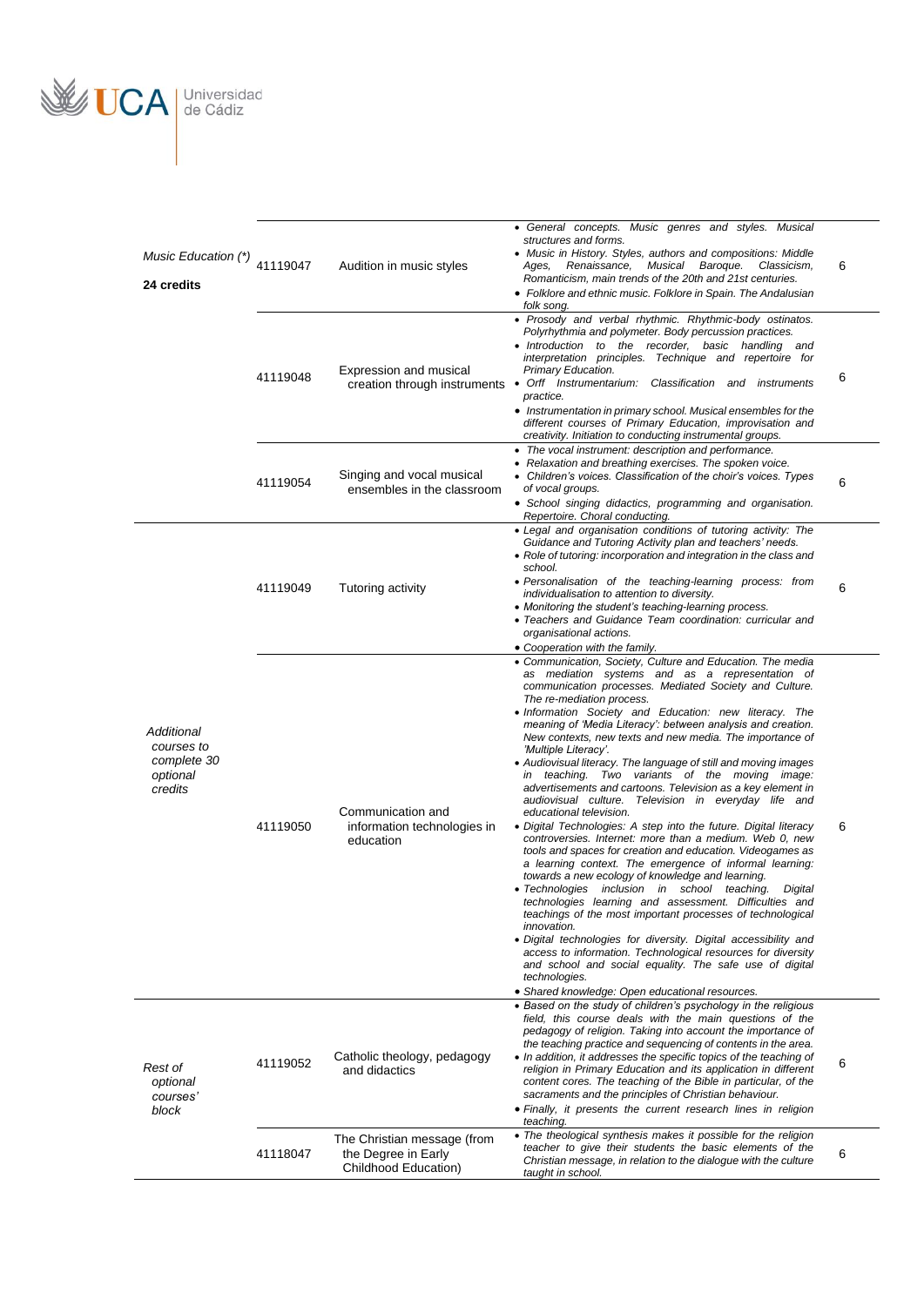

| Music Education (*)<br>24 credits                              | 41119047 | Audition in music styles                                                   | • General concepts. Music genres and styles. Musical<br>structures and forms.<br>• Music in History. Styles, authors and compositions: Middle<br>Renaissance,<br>Musical Baroque.<br>Classicism,<br>Ages,<br>Romanticism, main trends of the 20th and 21st centuries.<br>• Folklore and ethnic music. Folklore in Spain. The Andalusian<br>folk song.                                                                                                                                                                                                                                                                                                                                                                                                                                                                                                                                                                                                                                                                                                                                                                                                                                                                                                                                                                                                                                                                 | 6 |
|----------------------------------------------------------------|----------|----------------------------------------------------------------------------|-----------------------------------------------------------------------------------------------------------------------------------------------------------------------------------------------------------------------------------------------------------------------------------------------------------------------------------------------------------------------------------------------------------------------------------------------------------------------------------------------------------------------------------------------------------------------------------------------------------------------------------------------------------------------------------------------------------------------------------------------------------------------------------------------------------------------------------------------------------------------------------------------------------------------------------------------------------------------------------------------------------------------------------------------------------------------------------------------------------------------------------------------------------------------------------------------------------------------------------------------------------------------------------------------------------------------------------------------------------------------------------------------------------------------|---|
|                                                                | 41119048 | Expression and musical                                                     | • Prosody and verbal rhythmic. Rhythmic-body ostinatos.<br>Polyrhythmia and polymeter. Body percussion practices.<br>• Introduction to the recorder, basic handling and<br>interpretation principles. Technique and repertoire for<br>Primary Education.<br>creation through instruments . Orff Instrumentarium: Classification and instruments<br>practice.<br>• Instrumentation in primary school. Musical ensembles for the<br>different courses of Primary Education, improvisation and                                                                                                                                                                                                                                                                                                                                                                                                                                                                                                                                                                                                                                                                                                                                                                                                                                                                                                                           | 6 |
|                                                                | 41119054 | Singing and vocal musical<br>ensembles in the classroom                    | creativity. Initiation to conducting instrumental groups.<br>• The vocal instrument: description and performance.<br>• Relaxation and breathing exercises. The spoken voice.<br>• Children's voices. Classification of the choir's voices. Types<br>of vocal groups.<br>• School singing didactics, programming and organisation.<br>Repertoire. Choral conducting.                                                                                                                                                                                                                                                                                                                                                                                                                                                                                                                                                                                                                                                                                                                                                                                                                                                                                                                                                                                                                                                   | 6 |
|                                                                | 41119049 | Tutoring activity                                                          | • Legal and organisation conditions of tutoring activity: The<br>Guidance and Tutoring Activity plan and teachers' needs.<br>• Role of tutoring: incorporation and integration in the class and<br>school.<br>• Personalisation of the teaching-learning process: from<br>individualisation to attention to diversity.<br>• Monitoring the student's teaching-learning process.<br>• Teachers and Guidance Team coordination: curricular and<br>organisational actions.<br>• Cooperation with the family.                                                                                                                                                                                                                                                                                                                                                                                                                                                                                                                                                                                                                                                                                                                                                                                                                                                                                                             | 6 |
| Additional<br>courses to<br>complete 30<br>optional<br>credits | 41119050 | Communication and<br>information technologies in<br>education              | • Communication, Society, Culture and Education. The media<br>as mediation systems and as a representation of<br>communication processes. Mediated Society and Culture.<br>The re-mediation process.<br>• Information Society and Education: new literacy. The<br>meaning of 'Media Literacy': between analysis and creation.<br>New contexts, new texts and new media. The importance of<br>'Multiple Literacy'.<br>• Audiovisual literacy. The language of still and moving images<br>in teaching. Two variants of the moving image:<br>advertisements and cartoons. Television as a key element in<br>audiovisual culture. Television in everyday life and<br>educational television.<br>• Digital Technologies: A step into the future. Digital literacy<br>controversies. Internet: more than a medium. Web 0, new<br>tools and spaces for creation and education. Videogames as<br>a learning context. The emergence of informal learning:<br>towards a new ecology of knowledge and learning.<br>• Technologies inclusion in school teaching.<br>Digital<br>technologies learning and assessment. Difficulties and<br>teachings of the most important processes of technological<br>innovation.<br>• Digital technologies for diversity. Digital accessibility and<br>access to information. Technological resources for diversity<br>and school and social equality. The safe use of digital<br>technologies. | 6 |
| Rest of<br>optional<br>courses'<br>block                       | 41119052 | Catholic theology, pedagogy<br>and didactics                               | • Shared knowledge: Open educational resources.<br>• Based on the study of children's psychology in the religious<br>field, this course deals with the main questions of the<br>pedagogy of religion. Taking into account the importance of<br>the teaching practice and sequencing of contents in the area.<br>• In addition, it addresses the specific topics of the teaching of<br>religion in Primary Education and its application in different<br>content cores. The teaching of the Bible in particular, of the<br>sacraments and the principles of Christian behaviour.<br>• Finally, it presents the current research lines in religion<br>teaching.                                                                                                                                                                                                                                                                                                                                                                                                                                                                                                                                                                                                                                                                                                                                                         | 6 |
|                                                                | 41118047 | The Christian message (from<br>the Degree in Early<br>Childhood Education) | • The theological synthesis makes it possible for the religion<br>teacher to give their students the basic elements of the<br>Christian message, in relation to the dialogue with the culture<br>taught in school.                                                                                                                                                                                                                                                                                                                                                                                                                                                                                                                                                                                                                                                                                                                                                                                                                                                                                                                                                                                                                                                                                                                                                                                                    | 6 |